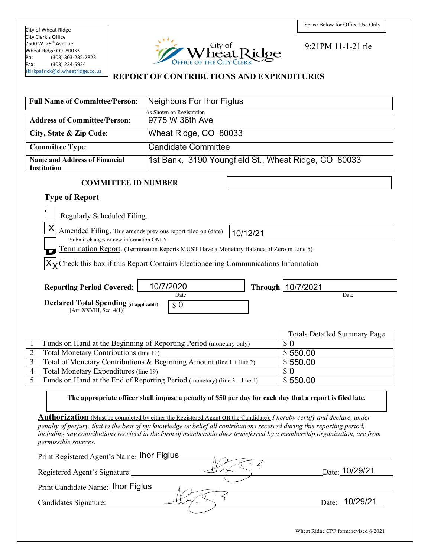City of Wheat Ridge City Clerk's Office 7500 W. 29<sup>th</sup> Avenue Wheat Ridge CO 80033<br>Ph: (303) 303-235  $(303)$  303-235-2823 Fax: (303) 234-5924 [skirkpatrick@ci.wheatridge.co.us](mailto:skirkpatrick@ci.wheatridge.co.us) 



9:21PM 11-1-21 rle

### **REPORT OF CONTRIBUTIONS AND EXPENDITURES**

| <b>Full Name of Committee/Person:</b>                                                                                        | <b>Neighbors For Ihor Figlus</b>                                                                                              |                                                                                                                        |
|------------------------------------------------------------------------------------------------------------------------------|-------------------------------------------------------------------------------------------------------------------------------|------------------------------------------------------------------------------------------------------------------------|
| <b>Address of Committee/Person:</b>                                                                                          | As Shown on Registration<br>9775 W 36th Ave                                                                                   |                                                                                                                        |
|                                                                                                                              |                                                                                                                               |                                                                                                                        |
| City, State & Zip Code:                                                                                                      | Wheat Ridge, CO 80033                                                                                                         |                                                                                                                        |
| <b>Committee Type:</b>                                                                                                       | <b>Candidate Committee</b>                                                                                                    |                                                                                                                        |
| <b>Name and Address of Financial</b><br><b>Institution</b>                                                                   | 1st Bank, 3190 Youngfield St., Wheat Ridge, CO 80033                                                                          |                                                                                                                        |
| <b>COMMITTEE ID NUMBER</b>                                                                                                   |                                                                                                                               |                                                                                                                        |
| <b>Type of Report</b>                                                                                                        |                                                                                                                               |                                                                                                                        |
| Regularly Scheduled Filing.                                                                                                  |                                                                                                                               |                                                                                                                        |
| X Amended Filing. This amends previous report filed on (date)                                                                | 10/12/21                                                                                                                      |                                                                                                                        |
| Submit changes or new information ONLY                                                                                       | Termination Report. (Termination Reports MUST Have a Monetary Balance of Zero in Line 5)                                      |                                                                                                                        |
|                                                                                                                              | $X \xrightarrow{\ }$ Check this box if this Report Contains Electioneering Communications Information                         |                                                                                                                        |
| <b>Reporting Period Covered:</b>                                                                                             | 10/7/2020                                                                                                                     | Through   10/7/2021                                                                                                    |
| <b>Declared Total Spending (if applicable)</b><br>[Art. $XXVIII$ , Sec. $4(1)$ ]                                             | Date<br>$\boldsymbol{\mathsf{s}}$ 0                                                                                           | Date                                                                                                                   |
|                                                                                                                              |                                                                                                                               |                                                                                                                        |
|                                                                                                                              |                                                                                                                               | <b>Totals Detailed Summary Page</b>                                                                                    |
|                                                                                                                              | Funds on Hand at the Beginning of Reporting Period (monetary only)                                                            | \$0                                                                                                                    |
| $\overline{2}$<br>Total Monetary Contributions (line 11)                                                                     |                                                                                                                               | \$550.00                                                                                                               |
| $\overline{3}$                                                                                                               | Total of Monetary Contributions & Beginning Amount (line 1 + line 2)                                                          | \$550.00                                                                                                               |
| Total Monetary Expenditures (line 19)<br>4<br>5<br>Funds on Hand at the End of Reporting Period (monetary) (line 3 – line 4) |                                                                                                                               | \$0<br>\$550.00                                                                                                        |
|                                                                                                                              |                                                                                                                               |                                                                                                                        |
|                                                                                                                              | The appropriate officer shall impose a penalty of \$50 per day for each day that a report is filed late.                      |                                                                                                                        |
|                                                                                                                              | <b>Authorization</b> (Must be completed by either the Registered Agent OR the Candidate): I hereby certify and declare, under |                                                                                                                        |
| permissible sources.                                                                                                         | penalty of perjury, that to the best of my knowledge or belief all contributions received during this reporting period,       | including any contributions received in the form of membership dues transferred by a membership organization, are from |
| Print Registered Agent's Name: Ihor Figlus                                                                                   |                                                                                                                               |                                                                                                                        |
| Registered Agent's Signature:                                                                                                |                                                                                                                               | Date: 10/29/21                                                                                                         |
| Print Candidate Name: Ihor Figlus                                                                                            |                                                                                                                               |                                                                                                                        |
| Candidates Signature:                                                                                                        |                                                                                                                               | Date: 10/29/21                                                                                                         |
|                                                                                                                              |                                                                                                                               |                                                                                                                        |

Wheat Ridge CPF form: revised 6/2021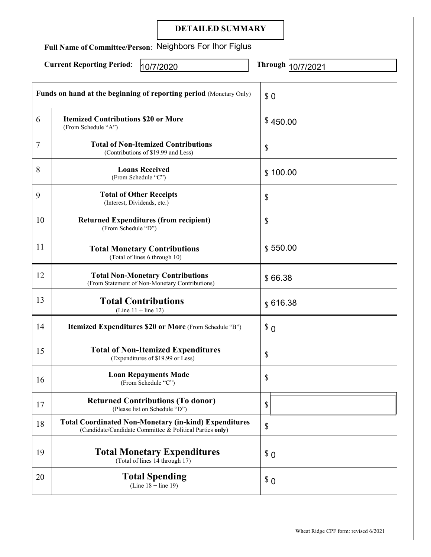|                                                          | <b>DETAILED SUMMARY</b>                                                                                                  |                             |
|----------------------------------------------------------|--------------------------------------------------------------------------------------------------------------------------|-----------------------------|
| Full Name of Committee/Person: Neighbors For Ihor Figlus |                                                                                                                          |                             |
|                                                          | <b>Current Reporting Period:</b><br>10/7/2020                                                                            | <b>Through</b><br>10/7/2021 |
|                                                          | Funds on hand at the beginning of reporting period (Monetary Only)                                                       | \$0                         |
| 6                                                        | <b>Itemized Contributions \$20 or More</b><br>(From Schedule "A")                                                        | \$450.00                    |
| 7                                                        | <b>Total of Non-Itemized Contributions</b><br>(Contributions of \$19.99 and Less)                                        | \$                          |
| 8                                                        | <b>Loans Received</b><br>(From Schedule "C")                                                                             | \$100.00                    |
| 9                                                        | <b>Total of Other Receipts</b><br>(Interest, Dividends, etc.)                                                            | \$                          |
| 10                                                       | <b>Returned Expenditures (from recipient)</b><br>(From Schedule "D")                                                     | \$                          |
| 11                                                       | <b>Total Monetary Contributions</b><br>(Total of lines 6 through 10)                                                     | \$550.00                    |
| 12                                                       | <b>Total Non-Monetary Contributions</b><br>(From Statement of Non-Monetary Contributions)                                | \$66.38                     |
| 13                                                       | <b>Total Contributions</b><br>(Line $11 +$ line 12)                                                                      | \$616.38                    |
| 14                                                       | Itemized Expenditures \$20 or More (From Schedule "B")                                                                   | $\Omega$                    |
| 15                                                       | <b>Total of Non-Itemized Expenditures</b><br>(Expenditures of \$19.99 or Less)                                           | \$                          |
| 16                                                       | <b>Loan Repayments Made</b><br>(From Schedule "C")                                                                       | \$                          |
| 17                                                       | <b>Returned Contributions (To donor)</b><br>(Please list on Schedule "D")                                                | \$                          |
| 18                                                       | <b>Total Coordinated Non-Monetary (in-kind) Expenditures</b><br>(Candidate/Candidate Committee & Political Parties only) | \$                          |
| 19                                                       | <b>Total Monetary Expenditures</b><br>(Total of lines 14 through 17)                                                     | $\Omega$                    |
| 20                                                       | <b>Total Spending</b><br>(Line $18 +$ line 19)                                                                           | $\Omega$                    |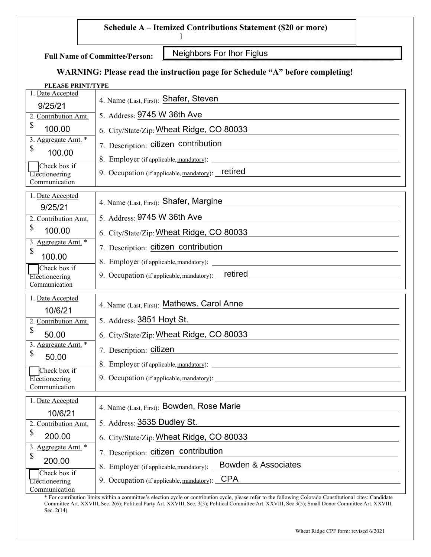### **Schedule A – Itemized Contributions Statement (\$20 or more)**

**Full Name of Committee/Person:**

Neighbors For Ihor Figlus

# **WARNING: Please read the instruction page for Schedule "A" before completing!**

]

#### **PLEASE PRINT/TYPE**

| 1. Date Accepted                | 4. Name (Last, First): Shafer, Steven                                                              |
|---------------------------------|----------------------------------------------------------------------------------------------------|
| 9/25/21                         |                                                                                                    |
| 2. Contribution Amt.            | 5. Address: 9745 W 36th Ave                                                                        |
| \$<br>100.00                    | 6. City/State/Zip: Wheat Ridge, CO 80033                                                           |
| 3. Aggregate Amt. *             | 7. Description: citizen contribution                                                               |
| \$<br>100.00                    |                                                                                                    |
| Check box if                    | 9. Occupation (if applicable, mandatory): retired                                                  |
| Electioneering<br>Communication |                                                                                                    |
| 1. Date Accepted                |                                                                                                    |
| 9/25/21                         | 4. Name (Last, First): Shafer, Margine                                                             |
| 2. Contribution Amt.            | 5. Address: 9745 W 36th Ave                                                                        |
| \$<br>100.00                    | 6. City/State/Zip: Wheat Ridge, CO 80033                                                           |
| 3. Aggregate Amt. *             | 7. Description: citizen contribution                                                               |
| \$<br>100.00                    |                                                                                                    |
| Check box if                    | retired<br>9. Occupation (if applicable, mandatory):                                               |
| Electioneering<br>Communication |                                                                                                    |
|                                 |                                                                                                    |
|                                 |                                                                                                    |
| 1. Date Accepted                | 4. Name (Last, First): Mathews. Carol Anne                                                         |
| 10/6/21<br>2. Contribution Amt. | 5. Address: 3851 Hoyt St.                                                                          |
| \$<br>50.00                     | 6. City/State/Zip: Wheat Ridge, CO 80033                                                           |
| 3. Aggregate Amt. *             |                                                                                                    |
| \$<br>50.00                     | 7. Description: citizen                                                                            |
| Check box if                    |                                                                                                    |
| Electioneering<br>Communication |                                                                                                    |
| 1. Date Accepted                |                                                                                                    |
|                                 | 4. Name (Last, First): Bowden, Rose Marie                                                          |
| 10/6/21<br>2. Contribution Amt. | 5. Address: 3535 Dudley St.                                                                        |
| \$<br>200.00                    | 6. City/State/Zip: Wheat Ridge, CO 80033                                                           |
| 3. Aggregate Amt. *             |                                                                                                    |
| \$<br>200.00                    | 7. Description: citizen contribution<br><b>Bowden &amp; Associates</b>                             |
| Check box if<br>Electioneering  | 8. Employer (if applicable, mandatory):<br><b>CPA</b><br>9. Occupation (if applicable, mandatory): |

\* For contribution limits within a committee's election cycle or contribution cycle, please refer to the following Colorado Constitutional cites: Candidate Committee Art. XXVIII, Sec. 2(6); Political Party Art. XXVIII, Sec. 3(3); Political Committee Art. XXVIII, Sec 3(5); Small Donor Committee Art. XXVIII, Sec. 2(14).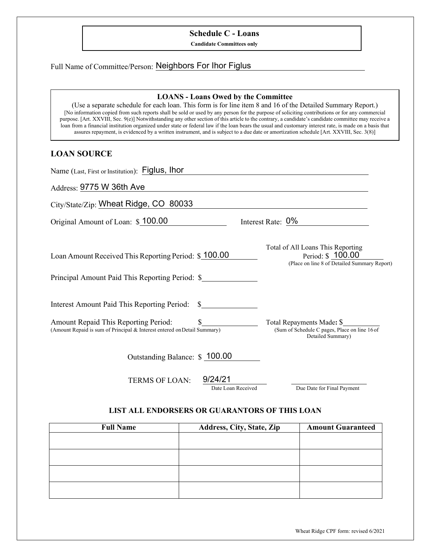### **Schedule C - Loans**

**Candidate Committees only**

## Full Name of Committee/Person: Neighbors For Ihor Figlus

#### **LOANS - Loans Owed by the Committee**

(Use a separate schedule for each loan. This form is for line item 8 and 16 of the Detailed Summary Report.) [No information copied from such reports shall be sold or used by any person for the purpose of soliciting contributions or for any commercial purpose. [Art. XXVIII, Sec. 9(e)] Notwithstanding any other section of this article to the contrary, a candidate's candidate committee may receive a loan from a financial institution organized under state or federal law if the loan bears the usual and customary interest rate, is made on a basis that assures repayment, is evidenced by a written instrument, and is subject to a due date or amortization schedule [Art. XXVIII, Sec. 3(8)]

### **LOAN SOURCE**

| Name (Last, First or Institution): Figlus, Ihor                                                                                  |                                                                                                       |
|----------------------------------------------------------------------------------------------------------------------------------|-------------------------------------------------------------------------------------------------------|
| Address: 9775 W 36th Ave                                                                                                         |                                                                                                       |
| City/State/Zip: Wheat Ridge, CO 80033                                                                                            |                                                                                                       |
| Original Amount of Loan: \$100.00                                                                                                | Interest Rate: 0%                                                                                     |
| Loan Amount Received This Reporting Period: \$100.00                                                                             | Total of All Loans This Reporting<br>Period: \$100.00<br>(Place on line 8 of Detailed Summary Report) |
| Principal Amount Paid This Reporting Period: \$                                                                                  |                                                                                                       |
| Interest Amount Paid This Reporting Period:<br>$\mathbf S$                                                                       |                                                                                                       |
| Amount Repaid This Reporting Period:<br>$\mathbb{S}$<br>(Amount Repaid is sum of Principal & Interest entered on Detail Summary) | Total Repayments Made: \$<br>(Sum of Schedule C pages, Place on line 16 of<br>Detailed Summary)       |
| Outstanding Balance: \$ 100.00                                                                                                   |                                                                                                       |
| 9/24/21<br><b>TERMS OF LOAN:</b><br>Date Loan Received                                                                           | Due Date for Final Payment                                                                            |

#### **LIST ALL ENDORSERS OR GUARANTORS OF THIS LOAN**

| <b>Full Name</b> | Address, City, State, Zip | <b>Amount Guaranteed</b> |
|------------------|---------------------------|--------------------------|
|                  |                           |                          |
|                  |                           |                          |
|                  |                           |                          |
|                  |                           |                          |